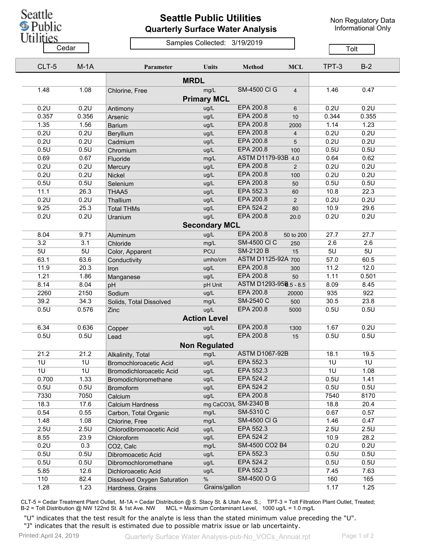

## **Seattle Public Utilities Quarterly Surface Water Analysis**

Non Regulatory Data Informational Only

## Samples Collected: 3/19/2019 Cedar **Cedar** Cedar Changes Compression Changes Contract Changes Contract Changes Contract Changes Contract Changes Contract Changes Contract Changes Contract Changes Contract Changes Changes Changes Changes Changes Change

|             | CLT-5 | $M-1A$ | Parameter                   | Units                      | <b>Method</b>          | <b>MCL</b>     | TPT-3 | $B-2$ |  |  |
|-------------|-------|--------|-----------------------------|----------------------------|------------------------|----------------|-------|-------|--|--|
| <b>MRDL</b> |       |        |                             |                            |                        |                |       |       |  |  |
|             | 1.48  | 1.08   | Chlorine, Free              | mg/L<br><b>Primary MCL</b> | <b>SM-4500 CI G</b>    | $\overline{4}$ | 1.46  | 0.47  |  |  |
|             | 0.2U  | 0.2U   | Antimony                    | ug/L                       | EPA 200.8              | 6              | 0.2U  | 0.2U  |  |  |
|             | 0.357 | 0.356  | Arsenic                     | ug/L                       | EPA 200.8              | 10             | 0.344 | 0.355 |  |  |
|             | 1.35  | 1.56   | <b>Barium</b>               | ug/L                       | EPA 200.8              | 2000           | 1.14  | 1.23  |  |  |
|             | 0.2U  | 0.2U   | Beryllium                   | ug/L                       | EPA 200.8              | 4              | 0.2U  | 0.2U  |  |  |
|             | 0.2U  | 0.2U   | Cadmium                     | ug/L                       | EPA 200.8              | 5              | 0.2U  | 0.2U  |  |  |
|             | 0.5U  | 0.5U   | Chromium                    | ug/L                       | EPA 200.8              | 100            | 0.5U  | 0.5U  |  |  |
|             | 0.69  | 0.67   | Fluoride                    | mg/L                       | ASTM D1179-93B 4.0     |                | 0.64  | 0.62  |  |  |
|             | 0.2U  | 0.2U   | Mercury                     | ug/L                       | EPA 200.8              | 2              | 0.2U  | 0.2U  |  |  |
|             | 0.2U  | 0.2U   | Nickel                      | ug/L                       | EPA 200.8              | 100            | 0.2U  | 0.2U  |  |  |
|             | 0.5U  | 0.5U   | Selenium                    | ug/L                       | EPA 200.8              | 50             | 0.5U  | 0.5U  |  |  |
|             | 11.1  | 26.3   | THAA5                       | ug/L                       | EPA 552.3              | 60             | 10.8  | 22.3  |  |  |
|             | 0.2U  | 0.2U   | Thallium                    | ug/L                       | EPA 200.8              | 2              | 0.2U  | 0.2U  |  |  |
|             | 9.25  | 25.3   | <b>Total THMs</b>           | ug/L                       | EPA 524.2              | 80             | 10.9  | 29.6  |  |  |
|             | 0.2U  | 0.2U   | Uranium                     | ug/L                       | EPA 200.8              | 20.0           | 0.2U  | 0.2U  |  |  |
|             |       |        |                             | <b>Secondary MCL</b>       |                        |                |       |       |  |  |
|             | 8.04  | 9.71   | Aluminum                    | ug/L                       | EPA 200.8              | 50 to 200      | 27.7  | 27.7  |  |  |
|             | 3.2   | 3.1    | Chloride                    | mg/L                       | <b>SM-4500 CI C</b>    | 250            | 2.6   | 2.6   |  |  |
|             | 5U    | 5U     | Color, Apparent             | <b>PCU</b>                 | <b>SM-2120 B</b>       | 15             | 5U    | 5U    |  |  |
|             | 63.1  | 63.6   | Conductivity                | umho/cm                    | ASTM D1125-92A 700     |                | 57.0  | 60.5  |  |  |
|             | 11.9  | 20.3   | Iron                        | ug/L                       | EPA 200.8              | 300            | 11.2  | 12.0  |  |  |
|             | 1.21  | 1.86   |                             | ug/L                       | EPA 200.8              | 50             | 1.11  | 0.501 |  |  |
|             | 8.14  | 8.04   | Manganese                   | pH Unit                    | ASTM D1293-958.5 - 8.5 |                | 8.09  | 8.45  |  |  |
|             | 2260  | 2150   | pH<br>Sodium                | ug/L                       | EPA 200.8              | 20000          | 935   | 922   |  |  |
|             | 39.2  | 34.3   |                             | mg/L                       | SM-2540 C              | 500            | 30.5  | 23.8  |  |  |
|             | 0.5U  | 0.576  | Solids, Total Dissolved     | ug/L                       | EPA 200.8              | 5000           | 0.5U  | 0.5U  |  |  |
|             |       |        | Zinc                        |                            |                        |                |       |       |  |  |
|             |       |        |                             | <b>Action Level</b>        |                        |                |       |       |  |  |
|             | 6.34  | 0.636  | Copper                      | ug/L                       | EPA 200.8              | 1300           | 1.67  | 0.2U  |  |  |
|             | 0.5U  | 0.5U   | Lead                        | ug/L                       | EPA 200.8              | 15             | 0.5U  | 0.5U  |  |  |
|             |       |        |                             | <b>Non Regulated</b>       |                        |                |       |       |  |  |
|             | 21.2  | 21.2   | Alkalinity, Total           | mg/L                       | <b>ASTM D1067-92B</b>  |                | 18.1  | 19.5  |  |  |
|             | 1U    | 1U     | Bromochloroacetic Acid      | ug/L                       | EPA 552.3              |                | 1U    | 1U    |  |  |
|             | 1U    | 1U     | Bromodichloroacetic Acid    | ug/L                       | EPA 552.3              |                | 1U    | 1.08  |  |  |
|             | 0.700 | 1.33   | Bromodichloromethane        | ug/L                       | EPA 524.2              |                | 0.5U  | 1.41  |  |  |
|             | 0.5U  | 0.5U   | <b>Bromoform</b>            | ug/L                       | EPA 524.2              |                | 0.5U  | 0.5U  |  |  |
|             | 7330  | 7050   | Calcium                     | ug/L                       | EPA 200.8              |                | 7540  | 8170  |  |  |
|             | 18.3  | 17.6   | <b>Calcium Hardness</b>     |                            | mg CaCO3/L SM-2340 B   |                | 18.8  | 20.4  |  |  |
|             | 0.54  | 0.55   | Carbon, Total Organic       | mg/L                       | SM-5310 C              |                | 0.67  | 0.57  |  |  |
|             | 1.48  | 1.08   | Chlorine, Free              | mg/L                       | <b>SM-4500 CI G</b>    |                | 1.46  | 0.47  |  |  |
|             | 2.5U  | 2.5U   | Chlorodibromoacetic Acid    | ug/L                       | EPA 552.3              |                | 2.5U  | 2.5U  |  |  |
|             | 8.55  | 23.9   | Chloroform                  | ug/L                       | EPA 524.2              |                | 10.9  | 28.2  |  |  |
|             | 0.2U  | 0.3    | CO2, Calc                   | mg/L                       | SM-4500 CO2 B4         |                | 0.2U  | 0.2U  |  |  |
|             | 0.5U  | 0.5U   | Dibromoacetic Acid          | ug/L                       | EPA 552.3              |                | 0.5U  | 0.5U  |  |  |
|             | 0.5U  | 0.5U   | Dibromochloromethane        | ug/L                       | EPA 524.2              |                | 0.5U  | 0.5U  |  |  |
|             | 5.85  | 12.6   | Dichloroacetic Acid         | ug/L                       | EPA 552.3              |                | 7.45  | 7.63  |  |  |
|             | 110   | 82.4   | Dissolved Oxygen Saturation | $\%$                       | SM-4500 O G            |                | 160   | 165   |  |  |
|             | 1.28  | 1.23   | Hardness, Grains            | Grains/gallon              |                        |                | 1.17  | 1.25  |  |  |

CLT-5 = Cedar Treatment Plant Outlet, M-1A = Cedar Distribution @ S. Stacy St. & Utah Ave. S.; TPT-3 = Tolt Filtration Plant Outlet, Treated; B-2 = Tolt Distribution @ NW 122nd St. & 1st Ave. NW MCL = Maximum Contaminant Level, 1000 ug/L = 1.0 mg/L

"U" indicates that the test result for the analyte is less than the stated minimum value preceding the "U". "J" indicates that the result is estimated due to possible matrix issue or lab uncertainty.